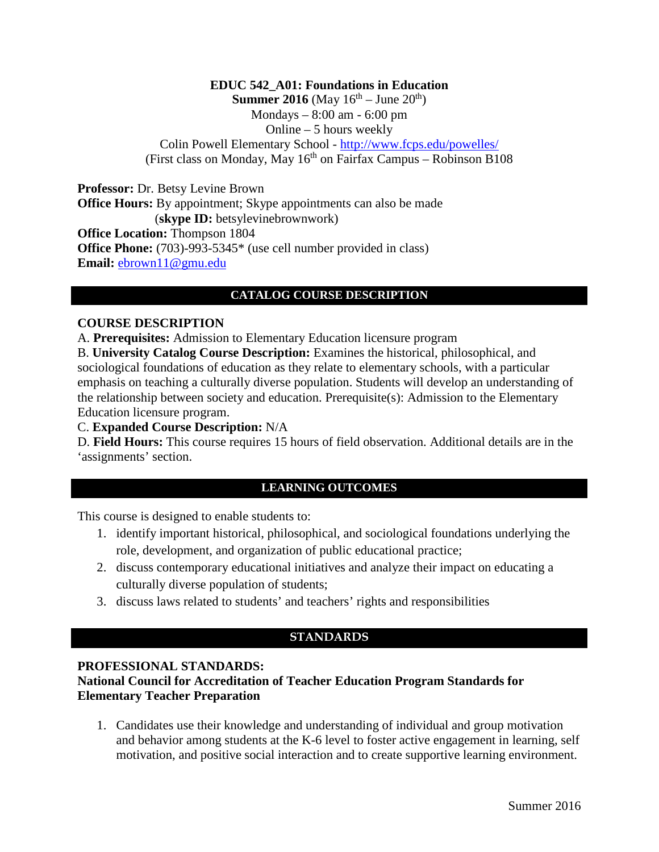#### **EDUC 542\_A01: Foundations in Education Summer 2016** (May  $16^{th}$  – June  $20^{th}$ ) Mondays – 8:00 am - 6:00 pm Online – 5 hours weekly Colin Powell Elementary School - <http://www.fcps.edu/powelles/> (First class on Monday, May  $16<sup>th</sup>$  on Fairfax Campus – Robinson B108

**Professor:** Dr. Betsy Levine Brown **Office Hours:** By appointment; Skype appointments can also be made (**skype ID:** betsylevinebrownwork) **Office Location:** Thompson 1804 **Office Phone:** (703)-993-5345\* (use cell number provided in class) **Email:** [ebrown11@gmu.edu](mailto:ebrown11@gmu.edu)

#### **CATALOG COURSE DESCRIPTION**

#### **COURSE DESCRIPTION**

A. **Prerequisites:** Admission to Elementary Education licensure program

B. **University Catalog Course Description:** Examines the historical, philosophical, and sociological foundations of education as they relate to elementary schools, with a particular emphasis on teaching a culturally diverse population. Students will develop an understanding of the relationship between society and education. Prerequisite(s): Admission to the Elementary Education licensure program.

#### C. **Expanded Course Description:** N/A

D. **Field Hours:** This course requires 15 hours of field observation. Additional details are in the 'assignments' section.

### **LEARNING OUTCOMES**

This course is designed to enable students to:

- 1. identify important historical, philosophical, and sociological foundations underlying the role, development, and organization of public educational practice;
- 2. discuss contemporary educational initiatives and analyze their impact on educating a culturally diverse population of students;
- 3. discuss laws related to students' and teachers' rights and responsibilities

#### **STANDARDS**

#### **PROFESSIONAL STANDARDS: National Council for Accreditation of Teacher Education Program Standards for Elementary Teacher Preparation**

1. Candidates use their knowledge and understanding of individual and group motivation and behavior among students at the K-6 level to foster active engagement in learning, self motivation, and positive social interaction and to create supportive learning environment.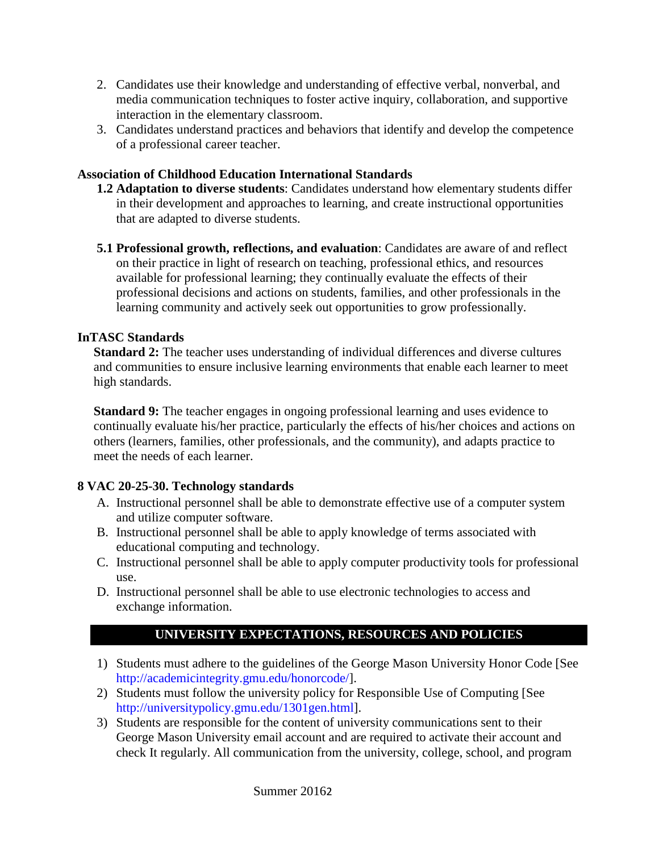- 2. Candidates use their knowledge and understanding of effective verbal, nonverbal, and media communication techniques to foster active inquiry, collaboration, and supportive interaction in the elementary classroom.
- 3. Candidates understand practices and behaviors that identify and develop the competence of a professional career teacher.

### **Association of Childhood Education International Standards**

- **1.2 Adaptation to diverse students**: Candidates understand how elementary students differ in their development and approaches to learning, and create instructional opportunities that are adapted to diverse students.
- **5.1 Professional growth, reflections, and evaluation**: Candidates are aware of and reflect on their practice in light of research on teaching, professional ethics, and resources available for professional learning; they continually evaluate the effects of their professional decisions and actions on students, families, and other professionals in the learning community and actively seek out opportunities to grow professionally.

### **InTASC Standards**

**Standard 2:** The teacher uses understanding of individual differences and diverse cultures and communities to ensure inclusive learning environments that enable each learner to meet high standards.

**Standard 9:** The teacher engages in ongoing professional learning and uses evidence to continually evaluate his/her practice, particularly the effects of his/her choices and actions on others (learners, families, other professionals, and the community), and adapts practice to meet the needs of each learner.

## **8 VAC 20-25-30. Technology standards**

- A. Instructional personnel shall be able to demonstrate effective use of a computer system and utilize computer software.
- B. Instructional personnel shall be able to apply knowledge of terms associated with educational computing and technology.
- C. Instructional personnel shall be able to apply computer productivity tools for professional use.
- D. Instructional personnel shall be able to use electronic technologies to access and exchange information.

# **UNIVERSITY EXPECTATIONS, RESOURCES AND POLICIES**

- 1) Students must adhere to the guidelines of the George Mason University Honor Code [See [http://academicintegrity.gmu.edu/honorcode/\]](http://academicintegrity.gmu.edu/honorcode/).
- 2) Students must follow the university policy for Responsible Use of Computing [See [http://universitypolicy.gmu.edu/1301gen.html\]](http://universitypolicy.gmu.edu/1301gen.html).
- 3) Students are responsible for the content of university communications sent to their George Mason University email account and are required to activate their account and check It regularly. All communication from the university, college, school, and program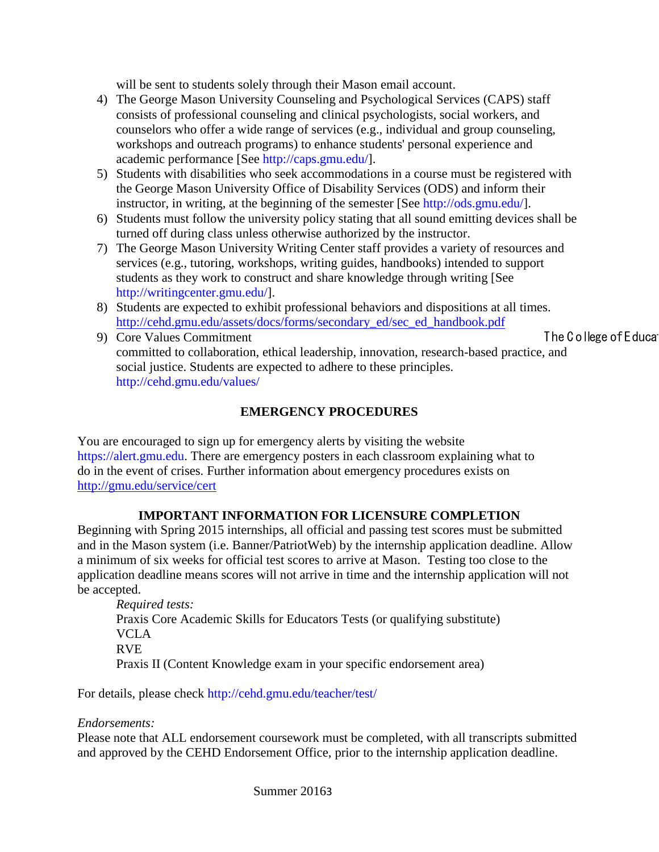will be sent to students solely through their Mason email account.

- 4) The George Mason University Counseling and Psychological Services (CAPS) staff consists of professional counseling and clinical psychologists, social workers, and counselors who offer a wide range of services (e.g., individual and group counseling, workshops and outreach programs) to enhance students' personal experience and academic performance [See [http://caps.gmu.edu/\]](http://caps.gmu.edu/).
- 5) Students with disabilities who seek accommodations in a course must be registered with the George Mason University Office of Disability Services (ODS) and inform their instructor, in writing, at the beginning of the semester [See [http://ods.gmu.edu/\]](http://ods.gmu.edu/).
- 6) Students must follow the university policy stating that all sound emitting devices shall be turned off during class unless otherwise authorized by the instructor.
- 7) The George Mason University Writing Center staff provides a variety of resources and services (e.g., tutoring, workshops, writing guides, handbooks) intended to support students as they work to construct and share knowledge through writing [See [http://writingcenter.gmu.edu/\]](http://writingcenter.gmu.edu/).
- 8) Students are expected to exhibit professional behaviors and dispositions at all times. [http://cehd.gmu.edu/assets/docs/forms/secondary\\_ed/sec\\_ed\\_handbook.pdf](http://cehd.gmu.edu/assets/docs/forms/secondary_ed/sec_ed_handbook.pdf)
- 9) Core Values Commitment Committee Committee Committee Committee Committee Committee Committee Committee Committee Committee Committee Committee Committee Committee Committee Committee Committee Committee Committee Commit committed to collaboration, ethical leadership, innovation, research-based practice, and social justice. Students are expected to adhere to these principles. <http://cehd.gmu.edu/values/>

### **EMERGENCY PROCEDURES**

You are encouraged to sign up for emergency alerts by visiting the website [https://alert.gmu.edu.](https://alert.gmu.edu/) There are emergency posters in each classroom explaining what to do in the event of crises. Further information about emergency procedures exists on <http://gmu.edu/service/cert>

#### **IMPORTANT INFORMATION FOR LICENSURE COMPLETION**

Beginning with Spring 2015 internships, all official and passing test scores must be submitted and in the Mason system (i.e. Banner/PatriotWeb) by the internship application deadline. Allow a minimum of six weeks for official test scores to arrive at Mason. Testing too close to the application deadline means scores will not arrive in time and the internship application will not be accepted.

*Required tests:* Praxis Core Academic Skills for Educators Tests (or qualifying substitute) VCLA RVE Praxis II (Content Knowledge exam in your specific endorsement area)

For details, please check<http://cehd.gmu.edu/teacher/test/>

#### *Endorsements:*

Please note that ALL endorsement coursework must be completed, with all transcripts submitted and approved by the CEHD Endorsement Office, prior to the internship application deadline.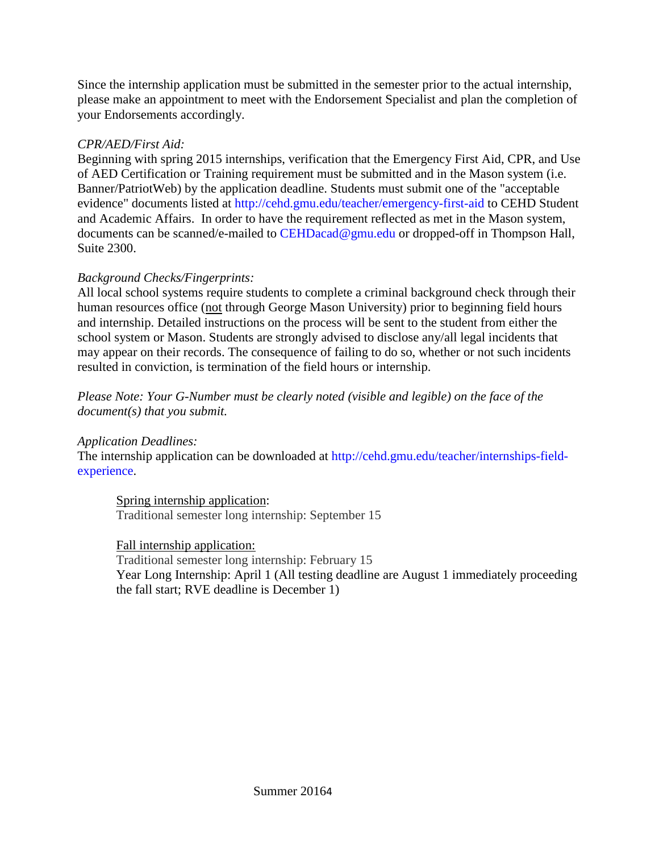Since the internship application must be submitted in the semester prior to the actual internship, please make an appointment to meet with the Endorsement Specialist and plan the completion of your Endorsements accordingly.

#### *CPR/AED/First Aid:*

Beginning with spring 2015 internships, verification that the Emergency First Aid, CPR, and Use of AED Certification or Training requirement must be submitted and in the Mason system (i.e. Banner/PatriotWeb) by the application deadline. Students must submit one of the "acceptable evidence" documents listed at<http://cehd.gmu.edu/teacher/emergency-first-aid> to CEHD Student and Academic Affairs. In order to have the requirement reflected as met in the Mason system, documents can be scanned/e-mailed to [CEHDacad@gmu.edu](mailto:cehdacad@gmu.edu) or dropped-off in Thompson Hall, Suite 2300.

## *Background Checks/Fingerprints:*

All local school systems require students to complete a criminal background check through their human resources office (not through George Mason University) prior to beginning field hours and internship. Detailed instructions on the process will be sent to the student from either the school system or Mason. Students are strongly advised to disclose any/all legal incidents that may appear on their records. The consequence of failing to do so, whether or not such incidents resulted in conviction, is termination of the field hours or internship.

*Please Note: Your G-Number must be clearly noted (visible and legible) on the face of the document(s) that you submit.*

*Application Deadlines:*

The internship application can be downloaded at [http://cehd.gmu.edu/teacher/internships-field](http://cehd.gmu.edu/teacher/internships-field-experience)[experience.](http://cehd.gmu.edu/teacher/internships-field-experience)

Spring internship application: Traditional semester long internship: September 15

## Fall internship application:

Traditional semester long internship: February 15 Year Long Internship: April 1 (All testing deadline are August 1 immediately proceeding the fall start; RVE deadline is December 1)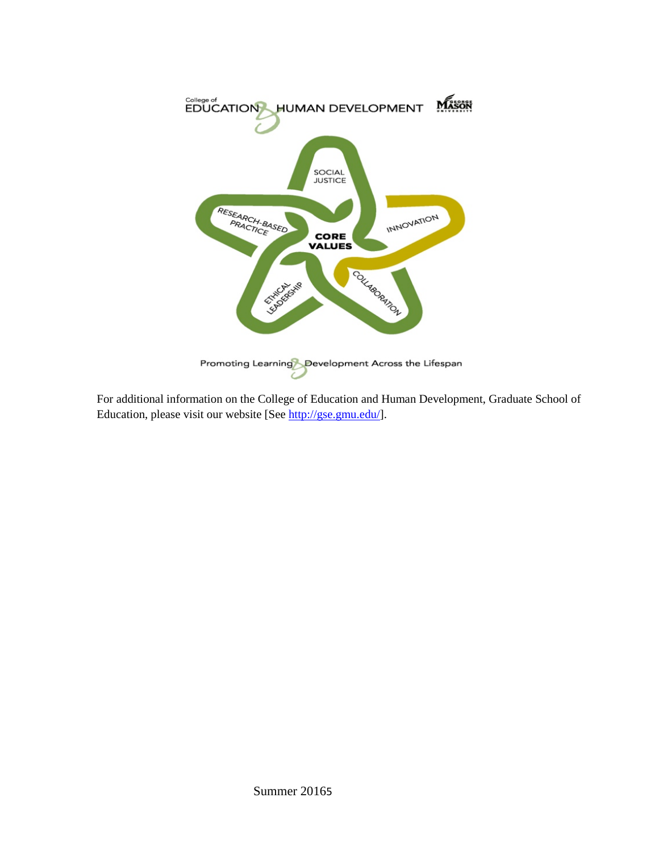

For additional information on the College of Education and Human Development, Graduate School of Education, please visit our website [See [http://gse.gmu.edu/\]](http://gse.gmu.edu/).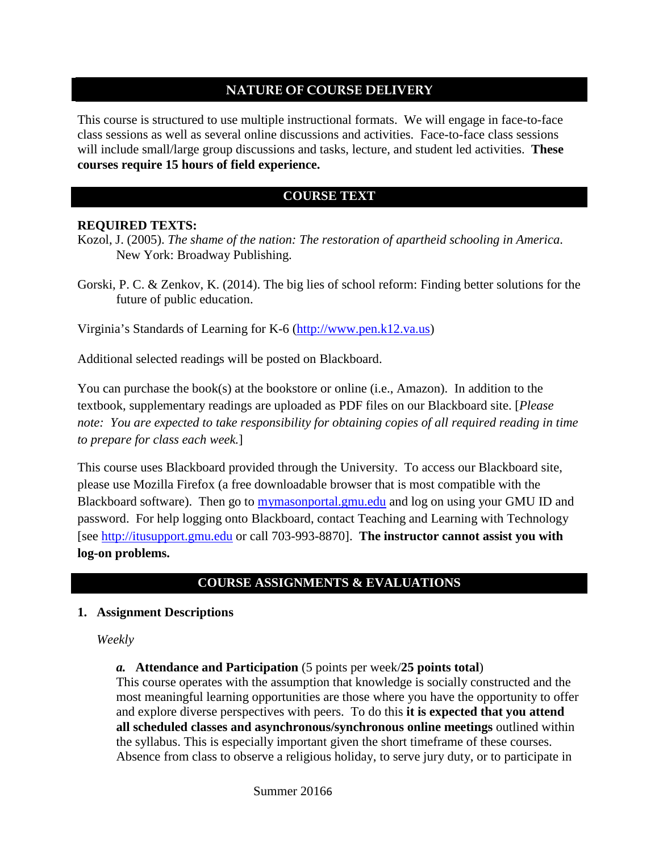### **NATURE OF COURSE DELIVERY**

This course is structured to use multiple instructional formats. We will engage in face-to-face class sessions as well as several online discussions and activities. Face-to-face class sessions will include small/large group discussions and tasks, lecture, and student led activities. **These courses require 15 hours of field experience.** 

### **COURSE TEXT**

#### **REQUIRED TEXTS:**

Kozol, J. (2005). *The shame of the nation: The restoration of apartheid schooling in America*. New York: Broadway Publishing.

Gorski, P. C. & Zenkov, K. (2014). The big lies of school reform: Finding better solutions for the future of public education.

Virginia's Standards of Learning for K-6 [\(http://www.pen.k12.va.us\)](http://www.pen.k12.va.us/)

Additional selected readings will be posted on Blackboard.

You can purchase the book(s) at the bookstore or online (i.e., Amazon). In addition to the textbook, supplementary readings are uploaded as PDF files on our Blackboard site. [*Please note: You are expected to take responsibility for obtaining copies of all required reading in time to prepare for class each week.*]

This course uses Blackboard provided through the University. To access our Blackboard site, please use Mozilla Firefox (a free downloadable browser that is most compatible with the Blackboard software). Then go to mymasonportal.gmu.edu and log on using your GMU ID and password. For help logging onto Blackboard, contact Teaching and Learning with Technology [see [http://itusupport.gmu.edu](http://itusupport.gmu.edu/) or call 703-993-8870]. **The instructor cannot assist you with log-on problems.**

## **COURSE ASSIGNMENTS & EVALUATIONS**

#### **1. Assignment Descriptions**

*Weekly*

*a.* **Attendance and Participation** (5 points per week/**25 points total**)

This course operates with the assumption that knowledge is socially constructed and the most meaningful learning opportunities are those where you have the opportunity to offer and explore diverse perspectives with peers. To do this **it is expected that you attend all scheduled classes and asynchronous/synchronous online meetings** outlined within the syllabus. This is especially important given the short timeframe of these courses. Absence from class to observe a religious holiday, to serve jury duty, or to participate in

Summer 20166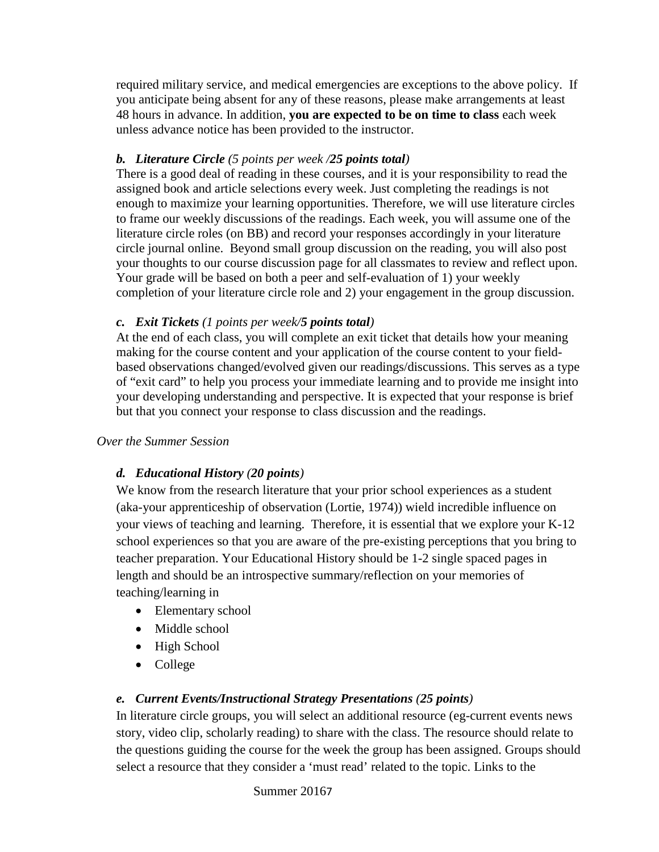required military service, and medical emergencies are exceptions to the above policy. If you anticipate being absent for any of these reasons, please make arrangements at least 48 hours in advance. In addition, **you are expected to be on time to class** each week unless advance notice has been provided to the instructor.

## *b. Literature Circle (5 points per week /25 points total)*

There is a good deal of reading in these courses, and it is your responsibility to read the assigned book and article selections every week. Just completing the readings is not enough to maximize your learning opportunities. Therefore, we will use literature circles to frame our weekly discussions of the readings. Each week, you will assume one of the literature circle roles (on BB) and record your responses accordingly in your literature circle journal online. Beyond small group discussion on the reading, you will also post your thoughts to our course discussion page for all classmates to review and reflect upon. Your grade will be based on both a peer and self-evaluation of 1) your weekly completion of your literature circle role and 2) your engagement in the group discussion.

## *c. Exit Tickets (1 points per week/5 points total)*

At the end of each class, you will complete an exit ticket that details how your meaning making for the course content and your application of the course content to your fieldbased observations changed/evolved given our readings/discussions. This serves as a type of "exit card" to help you process your immediate learning and to provide me insight into your developing understanding and perspective. It is expected that your response is brief but that you connect your response to class discussion and the readings.

## *Over the Summer Session*

# *d. Educational History (20 points)*

We know from the research literature that your prior school experiences as a student (aka-your apprenticeship of observation (Lortie, 1974)) wield incredible influence on your views of teaching and learning. Therefore, it is essential that we explore your K-12 school experiences so that you are aware of the pre-existing perceptions that you bring to teacher preparation. Your Educational History should be 1-2 single spaced pages in length and should be an introspective summary/reflection on your memories of teaching/learning in

- Elementary school
- Middle school
- High School
- College

# *e. Current Events/Instructional Strategy Presentations (25 points)*

In literature circle groups, you will select an additional resource (eg-current events news story, video clip, scholarly reading) to share with the class. The resource should relate to the questions guiding the course for the week the group has been assigned. Groups should select a resource that they consider a 'must read' related to the topic. Links to the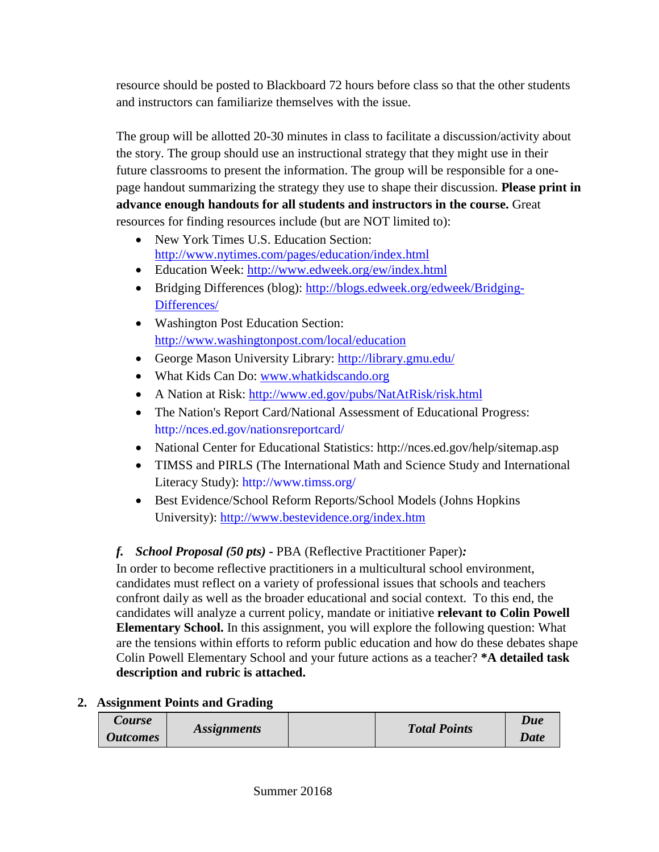resource should be posted to Blackboard 72 hours before class so that the other students and instructors can familiarize themselves with the issue.

The group will be allotted 20-30 minutes in class to facilitate a discussion/activity about the story. The group should use an instructional strategy that they might use in their future classrooms to present the information. The group will be responsible for a onepage handout summarizing the strategy they use to shape their discussion. **Please print in advance enough handouts for all students and instructors in the course.** Great resources for finding resources include (but are NOT limited to):

- New York Times U.S. Education Section: <http://www.nytimes.com/pages/education/index.html>
- Education Week:<http://www.edweek.org/ew/index.html>
- Bridging Differences (blog): [http://blogs.edweek.org/edweek/Bridging-](http://blogs.edweek.org/edweek/Bridging-Differences/)[Differences/](http://blogs.edweek.org/edweek/Bridging-Differences/)
- Washington Post Education Section: <http://www.washingtonpost.com/local/education>
- George Mason University Library:<http://library.gmu.edu/>
- What Kids Can Do: [www.whatkidscando.org](http://www.whatkidscando.org/)
- A Nation at Risk:<http://www.ed.gov/pubs/NatAtRisk/risk.html>
- The Nation's Report Card/National Assessment of Educational Progress: http://nces.ed.gov/nationsreportcard/
- National Center for Educational Statistics: http://nces.ed.gov/help/sitemap.asp
- TIMSS and PIRLS (The International Math and Science Study and International Literacy Study): http://www.timss.org/
- Best Evidence/School Reform Reports/School Models (Johns Hopkins University):<http://www.bestevidence.org/index.htm>

# *f. School Proposal (50 pts)* **-** PBA (Reflective Practitioner Paper)*:*

In order to become reflective practitioners in a multicultural school environment, candidates must reflect on a variety of professional issues that schools and teachers confront daily as well as the broader educational and social context. To this end, the candidates will analyze a current policy, mandate or initiative **relevant to Colin Powell Elementary School.** In this assignment, you will explore the following question: What are the tensions within efforts to reform public education and how do these debates shape Colin Powell Elementary School and your future actions as a teacher? **\*A detailed task description and rubric is attached.** 

# **2. Assignment Points and Grading**

| Course          |                           | <b>Total Points</b> |             |
|-----------------|---------------------------|---------------------|-------------|
| <b>Outcomes</b> | <i><b>Assignments</b></i> |                     | <b>Date</b> |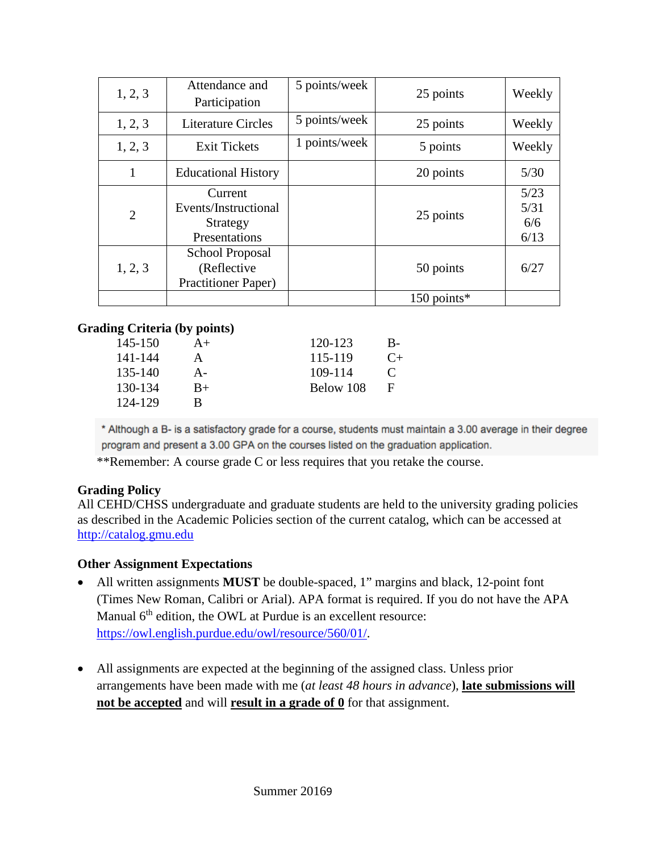| 1, 2, 3        | Attendance and<br>Participation                               | 5 points/week | 25 points   | Weekly                      |
|----------------|---------------------------------------------------------------|---------------|-------------|-----------------------------|
| 1, 2, 3        | <b>Literature Circles</b>                                     | 5 points/week | 25 points   | Weekly                      |
| 1, 2, 3        | <b>Exit Tickets</b>                                           | 1 points/week | 5 points    | Weekly                      |
| 1              | <b>Educational History</b>                                    |               | 20 points   | 5/30                        |
| $\overline{2}$ | Current<br>Events/Instructional<br>Strategy<br>Presentations  |               | 25 points   | 5/23<br>5/31<br>6/6<br>6/13 |
| 1, 2, 3        | School Proposal<br>(Reflective)<br><b>Practitioner Paper)</b> |               | 50 points   | 6/27                        |
|                |                                                               |               | 150 points* |                             |

#### **Grading Criteria (by points)**

| 145-150 | $A+$ | 120-123   | B-   |
|---------|------|-----------|------|
| 141-144 | А    | 115-119   | $C+$ |
| 135-140 | А-   | 109-114   | €    |
| 130-134 | $B+$ | Below 108 | F    |
| 124-129 | R    |           |      |
|         |      |           |      |

\* Although a B- is a satisfactory grade for a course, students must maintain a 3.00 average in their degree program and present a 3.00 GPA on the courses listed on the graduation application.

\*\*Remember: A course grade C or less requires that you retake the course.

#### **Grading Policy**

All CEHD/CHSS undergraduate and graduate students are held to the university grading policies as described in the Academic Policies section of the current catalog, which can be accessed at [http://catalog.gmu.edu](http://catalog.gmu.edu/)

#### **Other Assignment Expectations**

- All written assignments **MUST** be double-spaced, 1" margins and black, 12-point font (Times New Roman, Calibri or Arial). APA format is required. If you do not have the APA Manual  $6<sup>th</sup>$  edition, the OWL at Purdue is an excellent resource: [https://owl.english.purdue.edu/owl/resource/560/01/.](https://owl.english.purdue.edu/owl/resource/560/01/)
- All assignments are expected at the beginning of the assigned class. Unless prior arrangements have been made with me (*at least 48 hours in advance*), **late submissions will not be accepted** and will **result in a grade of 0** for that assignment.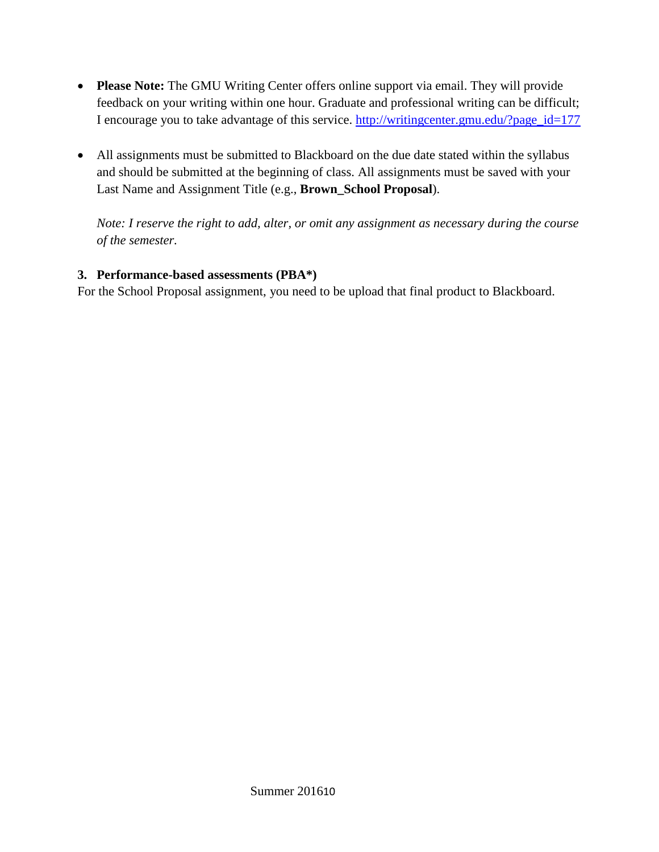- **Please Note:** The GMU Writing Center offers online support via email. They will provide feedback on your writing within one hour. Graduate and professional writing can be difficult; I encourage you to take advantage of this service. [http://writingcenter.gmu.edu/?page\\_id=177](http://writingcenter.gmu.edu/?page_id=177)
- All assignments must be submitted to Blackboard on the due date stated within the syllabus and should be submitted at the beginning of class. All assignments must be saved with your Last Name and Assignment Title (e.g., **Brown\_School Proposal**).

*Note: I reserve the right to add, alter, or omit any assignment as necessary during the course of the semester.*

### **3. Performance-based assessments (PBA\*)**

For the School Proposal assignment, you need to be upload that final product to Blackboard.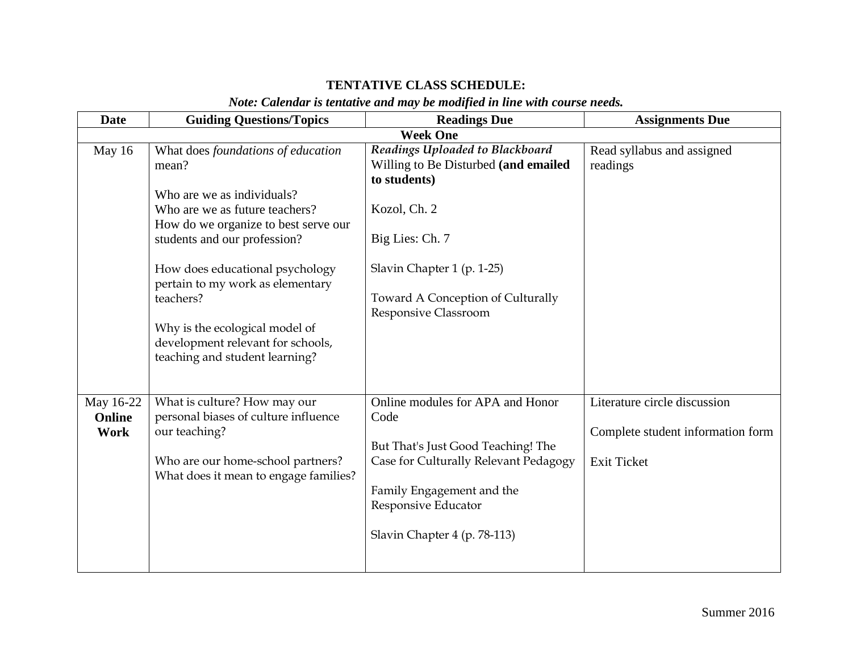# **TENTATIVE CLASS SCHEDULE:**

## *Note: Calendar is tentative and may be modified in line with course needs.*

| <b>Date</b>                 | <b>Guiding Questions/Topics</b>                                                                                                                                                                                                                                                                                                                                                  | <b>Readings Due</b>                                                                                                                                                                                                   | <b>Assignments Due</b>                                                                  |
|-----------------------------|----------------------------------------------------------------------------------------------------------------------------------------------------------------------------------------------------------------------------------------------------------------------------------------------------------------------------------------------------------------------------------|-----------------------------------------------------------------------------------------------------------------------------------------------------------------------------------------------------------------------|-----------------------------------------------------------------------------------------|
|                             |                                                                                                                                                                                                                                                                                                                                                                                  | <b>Week One</b>                                                                                                                                                                                                       |                                                                                         |
| May 16                      | What does foundations of education<br>mean?<br>Who are we as individuals?<br>Who are we as future teachers?<br>How do we organize to best serve our<br>students and our profession?<br>How does educational psychology<br>pertain to my work as elementary<br>teachers?<br>Why is the ecological model of<br>development relevant for schools,<br>teaching and student learning? | Readings Uploaded to Blackboard<br>Willing to Be Disturbed (and emailed<br>to students)<br>Kozol, Ch. 2<br>Big Lies: Ch. 7<br>Slavin Chapter 1 (p. 1-25)<br>Toward A Conception of Culturally<br>Responsive Classroom | Read syllabus and assigned<br>readings                                                  |
| May 16-22<br>Online<br>Work | What is culture? How may our<br>personal biases of culture influence<br>our teaching?<br>Who are our home-school partners?<br>What does it mean to engage families?                                                                                                                                                                                                              | Online modules for APA and Honor<br>Code<br>But That's Just Good Teaching! The<br>Case for Culturally Relevant Pedagogy<br>Family Engagement and the<br>Responsive Educator<br>Slavin Chapter 4 (p. 78-113)           | Literature circle discussion<br>Complete student information form<br><b>Exit Ticket</b> |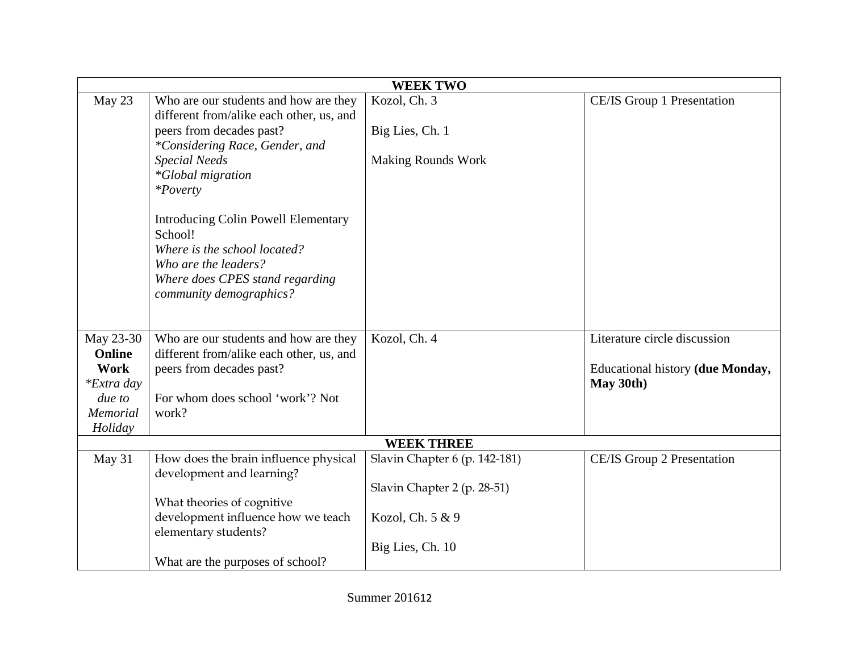|                   |                                            | <b>WEEK TWO</b>               |                                         |
|-------------------|--------------------------------------------|-------------------------------|-----------------------------------------|
| May 23            | Who are our students and how are they      | Kozol, Ch. 3                  | CE/IS Group 1 Presentation              |
|                   | different from/alike each other, us, and   |                               |                                         |
|                   | peers from decades past?                   | Big Lies, Ch. 1               |                                         |
|                   | *Considering Race, Gender, and             |                               |                                         |
|                   | <b>Special Needs</b>                       | <b>Making Rounds Work</b>     |                                         |
|                   | <i>*Global migration</i>                   |                               |                                         |
|                   | <i>*Poverty</i>                            |                               |                                         |
|                   | <b>Introducing Colin Powell Elementary</b> |                               |                                         |
|                   | School!                                    |                               |                                         |
|                   | Where is the school located?               |                               |                                         |
|                   | Who are the leaders?                       |                               |                                         |
|                   | Where does CPES stand regarding            |                               |                                         |
|                   | community demographics?                    |                               |                                         |
|                   |                                            |                               |                                         |
|                   |                                            |                               |                                         |
| May 23-30         | Who are our students and how are they      | Kozol, Ch. 4                  | Literature circle discussion            |
| Online            | different from/alike each other, us, and   |                               |                                         |
| Work              | peers from decades past?                   |                               | <b>Educational history (due Monday,</b> |
| <i>*Extra day</i> |                                            |                               | May 30th)                               |
| due to            | For whom does school 'work'? Not           |                               |                                         |
| <b>Memorial</b>   | work?                                      |                               |                                         |
| Holiday           |                                            |                               |                                         |
|                   |                                            | <b>WEEK THREE</b>             |                                         |
| May 31            | How does the brain influence physical      | Slavin Chapter 6 (p. 142-181) | CE/IS Group 2 Presentation              |
|                   | development and learning?                  |                               |                                         |
|                   |                                            | Slavin Chapter 2 (p. 28-51)   |                                         |
|                   | What theories of cognitive                 |                               |                                         |
|                   | development influence how we teach         | Kozol, Ch. 5 & 9              |                                         |
|                   | elementary students?                       |                               |                                         |
|                   |                                            | Big Lies, Ch. 10              |                                         |
|                   | What are the purposes of school?           |                               |                                         |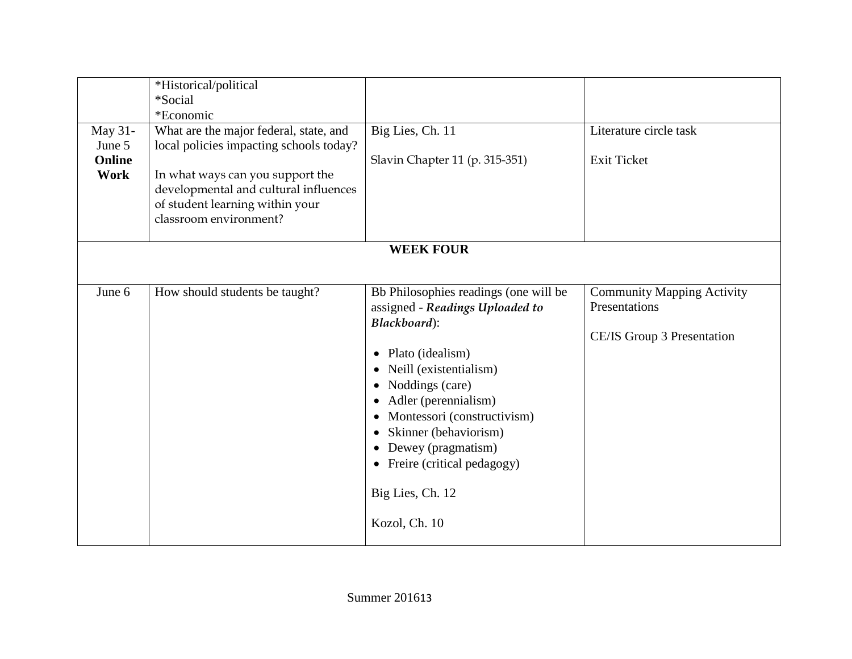| May 31-<br>June 5<br>Online | *Historical/political<br>*Social<br>*Economic<br>What are the major federal, state, and<br>local policies impacting schools today?     | Big Lies, Ch. 11<br>Slavin Chapter 11 (p. 315-351)                                                                                                                                                                                                                                                                                            | Literature circle task<br><b>Exit Ticket</b>                                     |
|-----------------------------|----------------------------------------------------------------------------------------------------------------------------------------|-----------------------------------------------------------------------------------------------------------------------------------------------------------------------------------------------------------------------------------------------------------------------------------------------------------------------------------------------|----------------------------------------------------------------------------------|
| Work                        | In what ways can you support the<br>developmental and cultural influences<br>of student learning within your<br>classroom environment? |                                                                                                                                                                                                                                                                                                                                               |                                                                                  |
|                             |                                                                                                                                        | <b>WEEK FOUR</b>                                                                                                                                                                                                                                                                                                                              |                                                                                  |
| June 6                      | How should students be taught?                                                                                                         | Bb Philosophies readings (one will be<br>assigned - Readings Uploaded to<br>Blackboard):<br>Plato (idealism)<br>$\bullet$<br>• Neill (existentialism)<br>Noddings (care)<br>Adler (perennialism)<br>Montessori (constructivism)<br>Skinner (behaviorism)<br>Dewey (pragmatism)<br>Freire (critical pedagogy)<br>$\bullet$<br>Big Lies, Ch. 12 | <b>Community Mapping Activity</b><br>Presentations<br>CE/IS Group 3 Presentation |
|                             |                                                                                                                                        | Kozol, Ch. 10                                                                                                                                                                                                                                                                                                                                 |                                                                                  |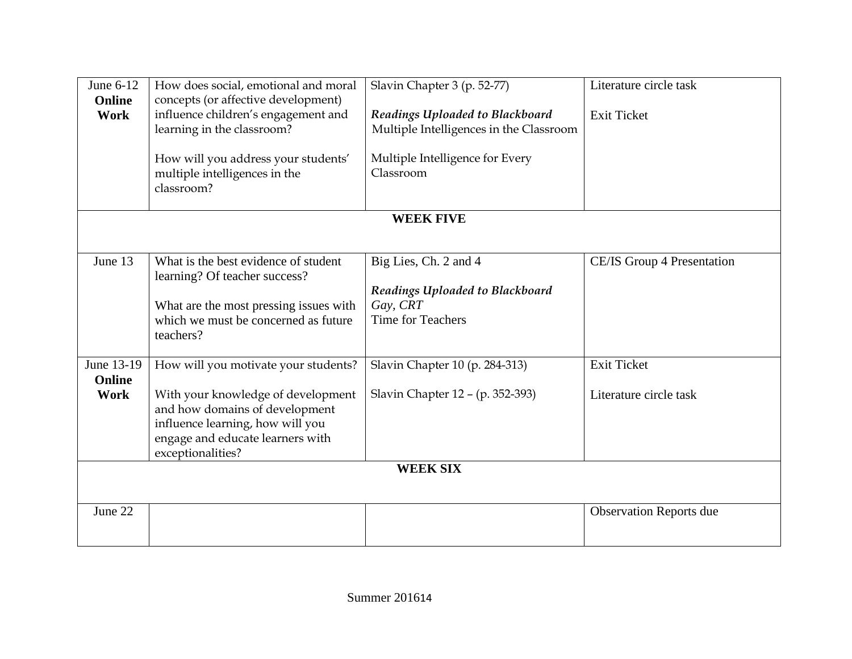| June 6-12<br>Online          | How does social, emotional and moral<br>concepts (or affective development)                                                                                                                               | Slavin Chapter 3 (p. 52-77)                                                                      | Literature circle task                       |
|------------------------------|-----------------------------------------------------------------------------------------------------------------------------------------------------------------------------------------------------------|--------------------------------------------------------------------------------------------------|----------------------------------------------|
| <b>Work</b>                  | influence children's engagement and<br>learning in the classroom?                                                                                                                                         | Readings Uploaded to Blackboard<br>Multiple Intelligences in the Classroom                       | <b>Exit Ticket</b>                           |
|                              | How will you address your students'<br>multiple intelligences in the<br>classroom?                                                                                                                        | Multiple Intelligence for Every<br>Classroom                                                     |                                              |
|                              |                                                                                                                                                                                                           | <b>WEEK FIVE</b>                                                                                 |                                              |
| June 13                      | What is the best evidence of student<br>learning? Of teacher success?<br>What are the most pressing issues with<br>which we must be concerned as future<br>teachers?                                      | Big Lies, Ch. 2 and 4<br>Readings Uploaded to Blackboard<br>Gay, CRT<br><b>Time for Teachers</b> | CE/IS Group 4 Presentation                   |
| June 13-19<br>Online<br>Work | How will you motivate your students?<br>With your knowledge of development<br>and how domains of development<br>influence learning, how will you<br>engage and educate learners with<br>exceptionalities? | Slavin Chapter 10 (p. 284-313)<br>Slavin Chapter 12 – (p. 352-393)                               | <b>Exit Ticket</b><br>Literature circle task |
|                              |                                                                                                                                                                                                           | <b>WEEK SIX</b>                                                                                  |                                              |
| June 22                      |                                                                                                                                                                                                           |                                                                                                  | <b>Observation Reports due</b>               |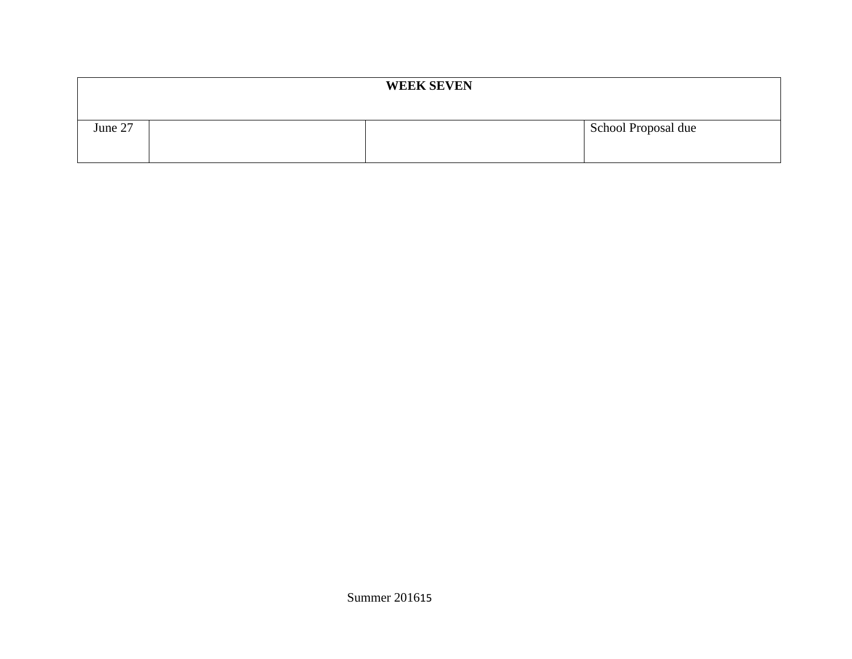| <b>WEEK SEVEN</b> |  |  |                     |  |  |
|-------------------|--|--|---------------------|--|--|
| June 27           |  |  | School Proposal due |  |  |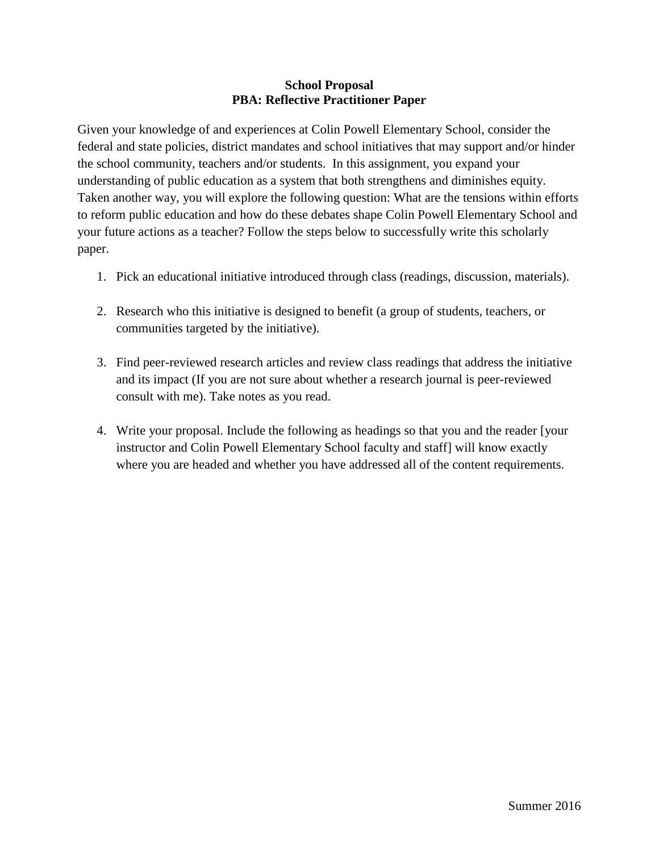#### **School Proposal PBA: Reflective Practitioner Paper**

Given your knowledge of and experiences at Colin Powell Elementary School, consider the federal and state policies, district mandates and school initiatives that may support and/or hinder the school community, teachers and/or students. In this assignment, you expand your understanding of public education as a system that both strengthens and diminishes equity. Taken another way, you will explore the following question: What are the tensions within efforts to reform public education and how do these debates shape Colin Powell Elementary School and your future actions as a teacher? Follow the steps below to successfully write this scholarly paper.

- 1. Pick an educational initiative introduced through class (readings, discussion, materials).
- 2. Research who this initiative is designed to benefit (a group of students, teachers, or communities targeted by the initiative).
- 3. Find peer-reviewed research articles and review class readings that address the initiative and its impact (If you are not sure about whether a research journal is peer-reviewed consult with me). Take notes as you read.
- 4. Write your proposal. Include the following as headings so that you and the reader [your instructor and Colin Powell Elementary School faculty and staff] will know exactly where you are headed and whether you have addressed all of the content requirements.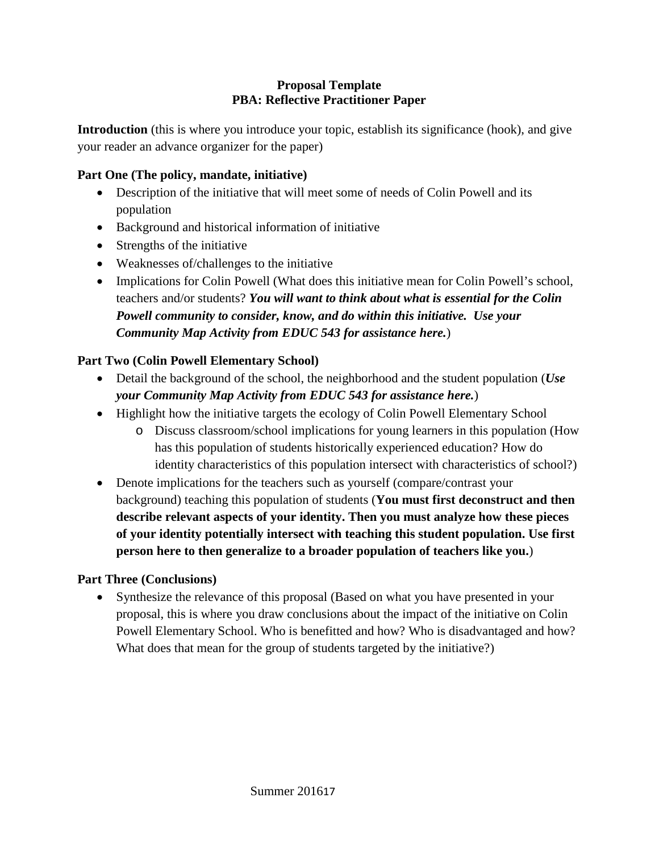### **Proposal Template PBA: Reflective Practitioner Paper**

**Introduction** (this is where you introduce your topic, establish its significance (hook), and give your reader an advance organizer for the paper)

# **Part One (The policy, mandate, initiative)**

- Description of the initiative that will meet some of needs of Colin Powell and its population
- Background and historical information of initiative
- Strengths of the initiative
- Weaknesses of/challenges to the initiative
- Implications for Colin Powell (What does this initiative mean for Colin Powell's school, teachers and/or students? *You will want to think about what is essential for the Colin Powell community to consider, know, and do within this initiative. Use your Community Map Activity from EDUC 543 for assistance here.*)

# **Part Two (Colin Powell Elementary School)**

- Detail the background of the school, the neighborhood and the student population (*Use your Community Map Activity from EDUC 543 for assistance here.*)
- Highlight how the initiative targets the ecology of Colin Powell Elementary School
	- o Discuss classroom/school implications for young learners in this population (How has this population of students historically experienced education? How do identity characteristics of this population intersect with characteristics of school?)
- Denote implications for the teachers such as yourself (compare/contrast your background) teaching this population of students (**You must first deconstruct and then describe relevant aspects of your identity. Then you must analyze how these pieces of your identity potentially intersect with teaching this student population. Use first person here to then generalize to a broader population of teachers like you.**)

# **Part Three (Conclusions)**

• Synthesize the relevance of this proposal (Based on what you have presented in your proposal, this is where you draw conclusions about the impact of the initiative on Colin Powell Elementary School. Who is benefitted and how? Who is disadvantaged and how? What does that mean for the group of students targeted by the initiative?)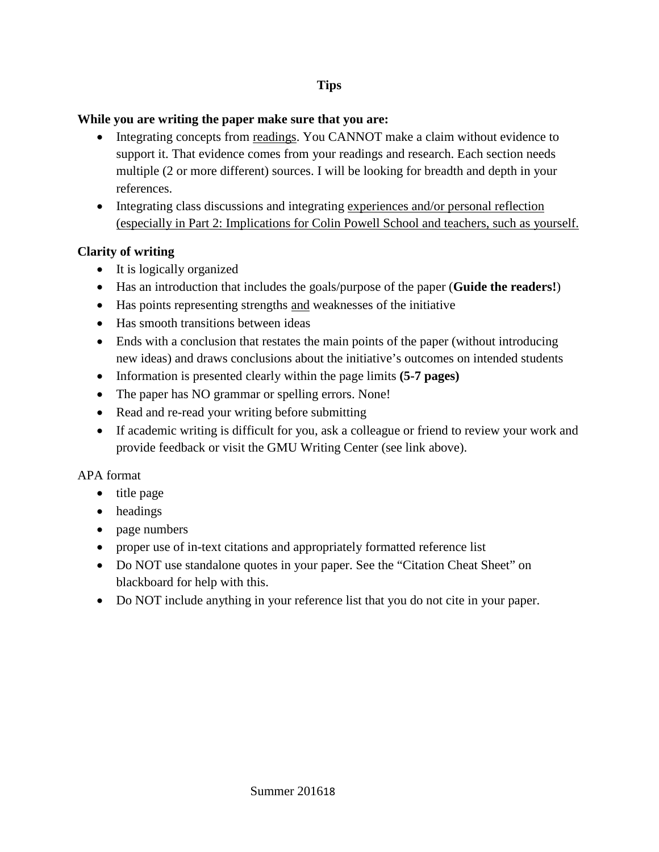### **Tips**

#### **While you are writing the paper make sure that you are:**

- Integrating concepts from readings. You CANNOT make a claim without evidence to support it. That evidence comes from your readings and research. Each section needs multiple (2 or more different) sources. I will be looking for breadth and depth in your references.
- Integrating class discussions and integrating experiences and/or personal reflection (especially in Part 2: Implications for Colin Powell School and teachers, such as yourself.

## **Clarity of writing**

- It is logically organized
- Has an introduction that includes the goals/purpose of the paper (**Guide the readers!**)
- Has points representing strengths and weaknesses of the initiative
- Has smooth transitions between ideas
- Ends with a conclusion that restates the main points of the paper (without introducing new ideas) and draws conclusions about the initiative's outcomes on intended students
- Information is presented clearly within the page limits **(5-7 pages)**
- The paper has NO grammar or spelling errors. None!
- Read and re-read your writing before submitting
- If academic writing is difficult for you, ask a colleague or friend to review your work and provide feedback or visit the GMU Writing Center (see link above).

## APA format

- title page
- headings
- page numbers
- proper use of in-text citations and appropriately formatted reference list
- Do NOT use standalone quotes in your paper. See the "Citation Cheat Sheet" on blackboard for help with this.
- Do NOT include anything in your reference list that you do not cite in your paper.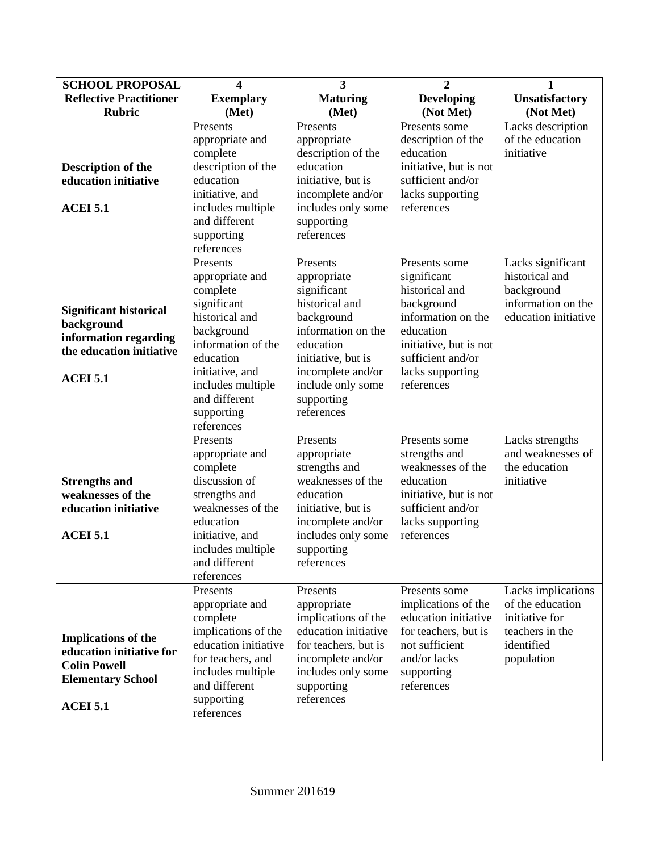| <b>SCHOOL PROPOSAL</b>                                                                                                       | 4                                                                                                                                                                                                              | $\overline{\mathbf{3}}$                                                                                                                                                                               | $\overline{2}$                                                                                                                                                                   | 1                                                                                                       |
|------------------------------------------------------------------------------------------------------------------------------|----------------------------------------------------------------------------------------------------------------------------------------------------------------------------------------------------------------|-------------------------------------------------------------------------------------------------------------------------------------------------------------------------------------------------------|----------------------------------------------------------------------------------------------------------------------------------------------------------------------------------|---------------------------------------------------------------------------------------------------------|
| <b>Reflective Practitioner</b>                                                                                               | <b>Exemplary</b>                                                                                                                                                                                               | <b>Maturing</b>                                                                                                                                                                                       | <b>Developing</b>                                                                                                                                                                | <b>Unsatisfactory</b>                                                                                   |
| <b>Rubric</b>                                                                                                                | (Met)                                                                                                                                                                                                          | (Met)                                                                                                                                                                                                 | (Not Met)                                                                                                                                                                        | (Not Met)                                                                                               |
| <b>Description of the</b><br>education initiative<br><b>ACEI 5.1</b>                                                         | Presents<br>appropriate and<br>complete<br>description of the<br>education<br>initiative, and<br>includes multiple<br>and different<br>supporting<br>references                                                | Presents<br>appropriate<br>description of the<br>education<br>initiative, but is<br>incomplete and/or<br>includes only some<br>supporting<br>references                                               | Presents some<br>description of the<br>education<br>initiative, but is not<br>sufficient and/or<br>lacks supporting<br>references                                                | Lacks description<br>of the education<br>initiative                                                     |
| <b>Significant historical</b><br>background<br>information regarding<br>the education initiative<br><b>ACEI 5.1</b>          | Presents<br>appropriate and<br>complete<br>significant<br>historical and<br>background<br>information of the<br>education<br>initiative, and<br>includes multiple<br>and different<br>supporting<br>references | Presents<br>appropriate<br>significant<br>historical and<br>background<br>information on the<br>education<br>initiative, but is<br>incomplete and/or<br>include only some<br>supporting<br>references | Presents some<br>significant<br>historical and<br>background<br>information on the<br>education<br>initiative, but is not<br>sufficient and/or<br>lacks supporting<br>references | Lacks significant<br>historical and<br>background<br>information on the<br>education initiative         |
| <b>Strengths and</b><br>weaknesses of the<br>education initiative<br><b>ACEI 5.1</b>                                         | Presents<br>appropriate and<br>complete<br>discussion of<br>strengths and<br>weaknesses of the<br>education<br>initiative, and<br>includes multiple<br>and different<br>references                             | Presents<br>appropriate<br>strengths and<br>weaknesses of the<br>education<br>initiative, but is<br>incomplete and/or<br>includes only some<br>supporting<br>references                               | Presents some<br>strengths and<br>weaknesses of the<br>education<br>initiative, but is not<br>sufficient and/or<br>lacks supporting<br>references                                | Lacks strengths<br>and weaknesses of<br>the education<br>initiative                                     |
| <b>Implications of the</b><br>education initiative for<br><b>Colin Powell</b><br><b>Elementary School</b><br><b>ACEI 5.1</b> | Presents<br>appropriate and<br>complete<br>implications of the<br>education initiative<br>for teachers, and<br>includes multiple<br>and different<br>supporting<br>references                                  | Presents<br>appropriate<br>implications of the<br>education initiative<br>for teachers, but is<br>incomplete and/or<br>includes only some<br>supporting<br>references                                 | Presents some<br>implications of the<br>education initiative<br>for teachers, but is<br>not sufficient<br>and/or lacks<br>supporting<br>references                               | Lacks implications<br>of the education<br>initiative for<br>teachers in the<br>identified<br>population |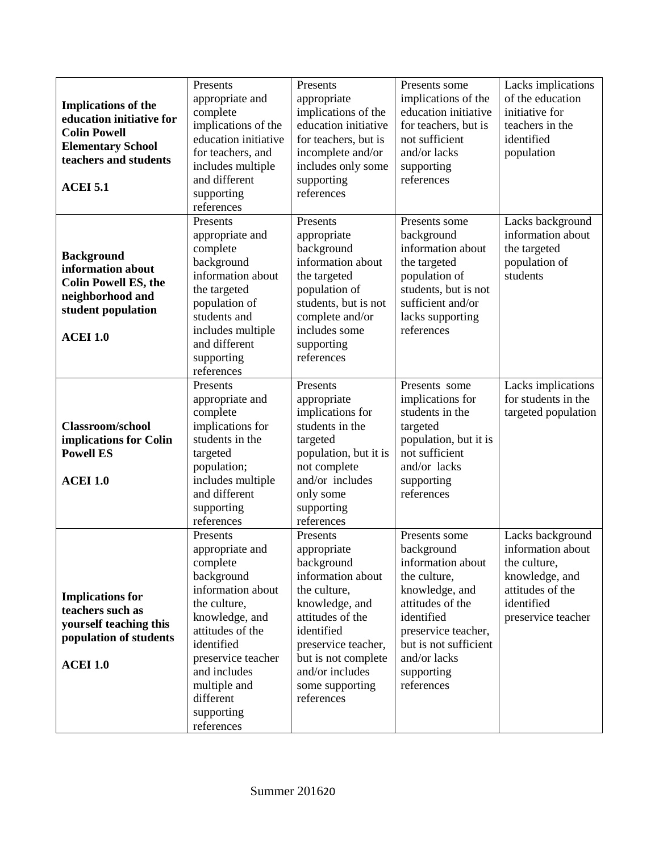| <b>Implications of the</b><br>education initiative for<br><b>Colin Powell</b><br><b>Elementary School</b><br>teachers and students<br><b>ACEI 5.1</b> | Presents<br>appropriate and<br>complete<br>implications of the<br>education initiative<br>for teachers, and<br>includes multiple<br>and different<br>supporting<br>references                                                                 | Presents<br>appropriate<br>implications of the<br>education initiative<br>for teachers, but is<br>incomplete and/or<br>includes only some<br>supporting<br>references                                                            | Presents some<br>implications of the<br>education initiative<br>for teachers, but is<br>not sufficient<br>and/or lacks<br>supporting<br>references                                                               | Lacks implications<br>of the education<br>initiative for<br>teachers in the<br>identified<br>population                         |
|-------------------------------------------------------------------------------------------------------------------------------------------------------|-----------------------------------------------------------------------------------------------------------------------------------------------------------------------------------------------------------------------------------------------|----------------------------------------------------------------------------------------------------------------------------------------------------------------------------------------------------------------------------------|------------------------------------------------------------------------------------------------------------------------------------------------------------------------------------------------------------------|---------------------------------------------------------------------------------------------------------------------------------|
| <b>Background</b><br>information about<br><b>Colin Powell ES, the</b><br>neighborhood and<br>student population<br><b>ACEI 1.0</b>                    | Presents<br>appropriate and<br>complete<br>background<br>information about<br>the targeted<br>population of<br>students and<br>includes multiple<br>and different<br>supporting<br>references                                                 | Presents<br>appropriate<br>background<br>information about<br>the targeted<br>population of<br>students, but is not<br>complete and/or<br>includes some<br>supporting<br>references                                              | Presents some<br>background<br>information about<br>the targeted<br>population of<br>students, but is not<br>sufficient and/or<br>lacks supporting<br>references                                                 | Lacks background<br>information about<br>the targeted<br>population of<br>students                                              |
| Classroom/school<br>implications for Colin<br><b>Powell ES</b><br><b>ACEI 1.0</b>                                                                     | Presents<br>appropriate and<br>complete<br>implications for<br>students in the<br>targeted<br>population;<br>includes multiple<br>and different<br>supporting<br>references                                                                   | Presents<br>appropriate<br>implications for<br>students in the<br>targeted<br>population, but it is<br>not complete<br>and/or includes<br>only some<br>supporting<br>references                                                  | Presents some<br>implications for<br>students in the<br>targeted<br>population, but it is<br>not sufficient<br>and/or lacks<br>supporting<br>references                                                          | Lacks implications<br>for students in the<br>targeted population                                                                |
| <b>Implications for</b><br>teachers such as<br>yourself teaching this<br>population of students<br><b>ACEI 1.0</b>                                    | Presents<br>appropriate and<br>complete<br>background<br>information about<br>the culture,<br>knowledge, and<br>attitudes of the<br>identified<br>preservice teacher<br>and includes<br>multiple and<br>different<br>supporting<br>references | Presents<br>appropriate<br>background<br>information about<br>the culture,<br>knowledge, and<br>attitudes of the<br>identified<br>preservice teacher,<br>but is not complete<br>and/or includes<br>some supporting<br>references | Presents some<br>background<br>information about<br>the culture,<br>knowledge, and<br>attitudes of the<br>identified<br>preservice teacher,<br>but is not sufficient<br>and/or lacks<br>supporting<br>references | Lacks background<br>information about<br>the culture,<br>knowledge, and<br>attitudes of the<br>identified<br>preservice teacher |